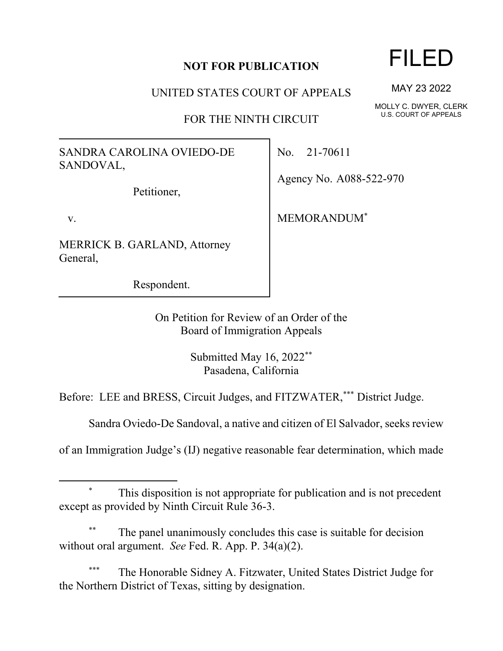## **NOT FOR PUBLICATION**

UNITED STATES COURT OF APPEALS

FOR THE NINTH CIRCUIT

SANDRA CAROLINA OVIEDO-DE SANDOVAL,

Petitioner,

v.

MERRICK B. GARLAND, Attorney General,

Respondent.

No. 21-70611

Agency No. A088-522-970

MEMORANDUM\*

On Petition for Review of an Order of the Board of Immigration Appeals

> Submitted May 16, 2022\*\* Pasadena, California

Before: LEE and BRESS, Circuit Judges, and FITZWATER,\*\*\* District Judge.

Sandra Oviedo-De Sandoval, a native and citizen of El Salvador, seeks review

of an Immigration Judge's (IJ) negative reasonable fear determination, which made

## This disposition is not appropriate for publication and is not precedent except as provided by Ninth Circuit Rule 36-3.

The panel unanimously concludes this case is suitable for decision without oral argument. *See* Fed. R. App. P. 34(a)(2).

The Honorable Sidney A. Fitzwater, United States District Judge for the Northern District of Texas, sitting by designation.

## FILED

MAY 23 2022

MOLLY C. DWYER, CLERK U.S. COURT OF APPEALS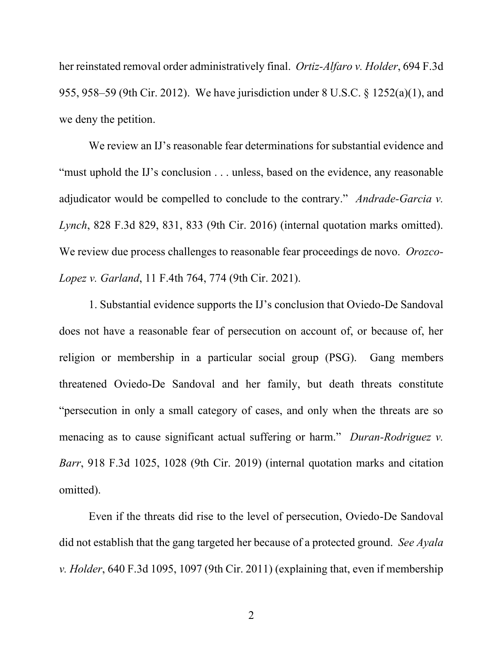her reinstated removal order administratively final. *Ortiz-Alfaro v. Holder*, 694 F.3d 955, 958–59 (9th Cir. 2012). We have jurisdiction under 8 U.S.C. § 1252(a)(1), and we deny the petition.

We review an IJ's reasonable fear determinations for substantial evidence and "must uphold the IJ's conclusion . . . unless, based on the evidence, any reasonable adjudicator would be compelled to conclude to the contrary." *Andrade-Garcia v. Lynch*, 828 F.3d 829, 831, 833 (9th Cir. 2016) (internal quotation marks omitted). We review due process challenges to reasonable fear proceedings de novo. *Orozco-Lopez v. Garland*, 11 F.4th 764, 774 (9th Cir. 2021).

1. Substantial evidence supports the IJ's conclusion that Oviedo-De Sandoval does not have a reasonable fear of persecution on account of, or because of, her religion or membership in a particular social group (PSG). Gang members threatened Oviedo-De Sandoval and her family, but death threats constitute "persecution in only a small category of cases, and only when the threats are so menacing as to cause significant actual suffering or harm." *Duran-Rodriguez v. Barr*, 918 F.3d 1025, 1028 (9th Cir. 2019) (internal quotation marks and citation omitted).

Even if the threats did rise to the level of persecution, Oviedo-De Sandoval did not establish that the gang targeted her because of a protected ground. *See Ayala v. Holder*, 640 F.3d 1095, 1097 (9th Cir. 2011) (explaining that, even if membership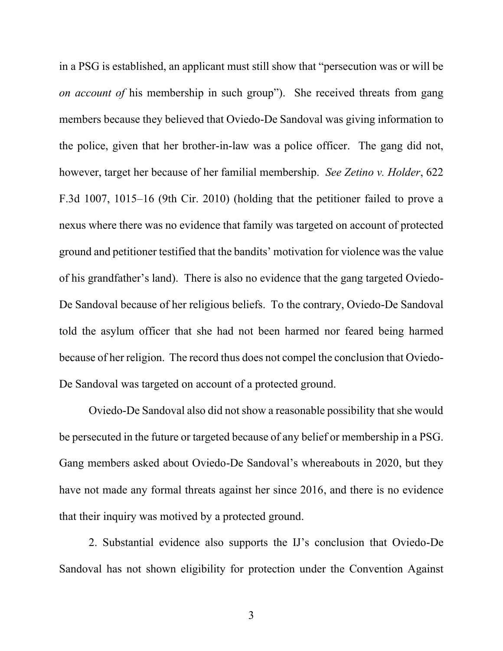in a PSG is established, an applicant must still show that "persecution was or will be *on account of* his membership in such group"). She received threats from gang members because they believed that Oviedo-De Sandoval was giving information to the police, given that her brother-in-law was a police officer. The gang did not, however, target her because of her familial membership. *See Zetino v. Holder*, 622 F.3d 1007, 1015–16 (9th Cir. 2010) (holding that the petitioner failed to prove a nexus where there was no evidence that family was targeted on account of protected ground and petitioner testified that the bandits' motivation for violence was the value of his grandfather's land). There is also no evidence that the gang targeted Oviedo-De Sandoval because of her religious beliefs. To the contrary, Oviedo-De Sandoval told the asylum officer that she had not been harmed nor feared being harmed because of her religion. The record thus does not compel the conclusion that Oviedo-De Sandoval was targeted on account of a protected ground.

Oviedo-De Sandoval also did not show a reasonable possibility that she would be persecuted in the future or targeted because of any belief or membership in a PSG. Gang members asked about Oviedo-De Sandoval's whereabouts in 2020, but they have not made any formal threats against her since 2016, and there is no evidence that their inquiry was motived by a protected ground.

2. Substantial evidence also supports the IJ's conclusion that Oviedo-De Sandoval has not shown eligibility for protection under the Convention Against

3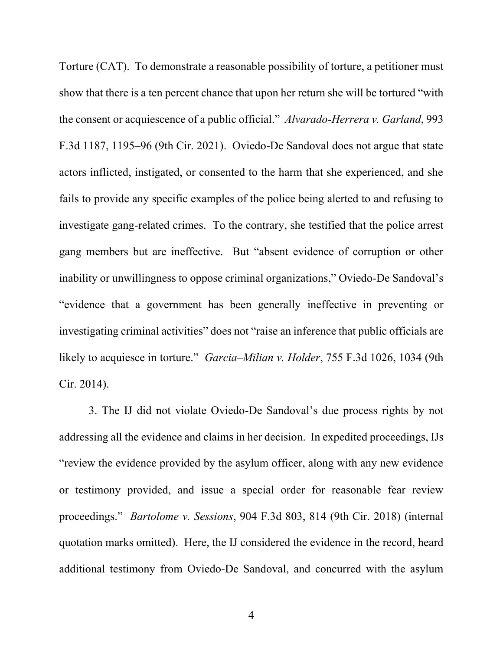Torture (CAT). To demonstrate a reasonable possibility of torture, a petitioner must show that there is a ten percent chance that upon her return she will be tortured "with the consent or acquiescence of a public official." *Alvarado-Herrera v. Garland*, 993 F.3d 1187, 1195–96 (9th Cir. 2021). Oviedo-De Sandoval does not argue that state actors inflicted, instigated, or consented to the harm that she experienced, and she fails to provide any specific examples of the police being alerted to and refusing to investigate gang-related crimes. To the contrary, she testified that the police arrest gang members but are ineffective. But "absent evidence of corruption or other inability or unwillingness to oppose criminal organizations," Oviedo-De Sandoval's "evidence that a government has been generally ineffective in preventing or investigating criminal activities" does not "raise an inference that public officials are likely to acquiesce in torture." *Garcia–Milian v. Holder*, 755 F.3d 1026, 1034 (9th Cir. 2014).

3. The IJ did not violate Oviedo-De Sandoval's due process rights by not addressing all the evidence and claims in her decision. In expedited proceedings, IJs "review the evidence provided by the asylum officer, along with any new evidence or testimony provided, and issue a special order for reasonable fear review proceedings." *Bartolome v. Sessions*, 904 F.3d 803, 814 (9th Cir. 2018) (internal quotation marks omitted). Here, the IJ considered the evidence in the record, heard additional testimony from Oviedo-De Sandoval, and concurred with the asylum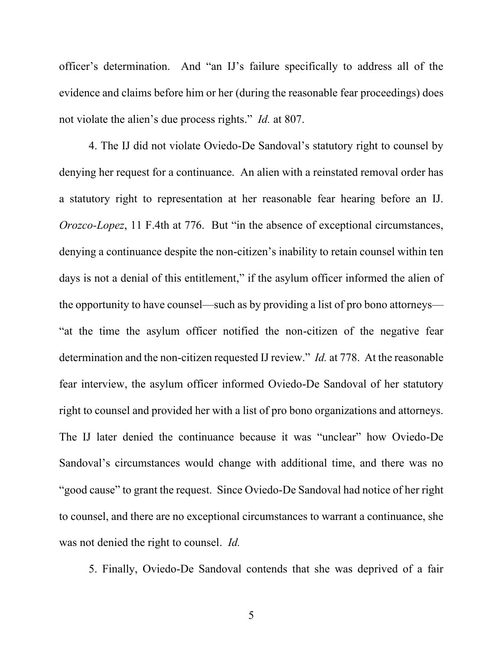officer's determination. And "an IJ's failure specifically to address all of the evidence and claims before him or her (during the reasonable fear proceedings) does not violate the alien's due process rights." *Id.* at 807.

4. The IJ did not violate Oviedo-De Sandoval's statutory right to counsel by denying her request for a continuance. An alien with a reinstated removal order has a statutory right to representation at her reasonable fear hearing before an IJ. *Orozco-Lopez*, 11 F.4th at 776. But "in the absence of exceptional circumstances, denying a continuance despite the non-citizen's inability to retain counsel within ten days is not a denial of this entitlement," if the asylum officer informed the alien of the opportunity to have counsel—such as by providing a list of pro bono attorneys— "at the time the asylum officer notified the non-citizen of the negative fear determination and the non-citizen requested IJ review." *Id.* at 778. At the reasonable fear interview, the asylum officer informed Oviedo-De Sandoval of her statutory right to counsel and provided her with a list of pro bono organizations and attorneys. The IJ later denied the continuance because it was "unclear" how Oviedo-De Sandoval's circumstances would change with additional time, and there was no "good cause" to grant the request. Since Oviedo-De Sandoval had notice of her right to counsel, and there are no exceptional circumstances to warrant a continuance, she was not denied the right to counsel. *Id.*

5. Finally, Oviedo-De Sandoval contends that she was deprived of a fair